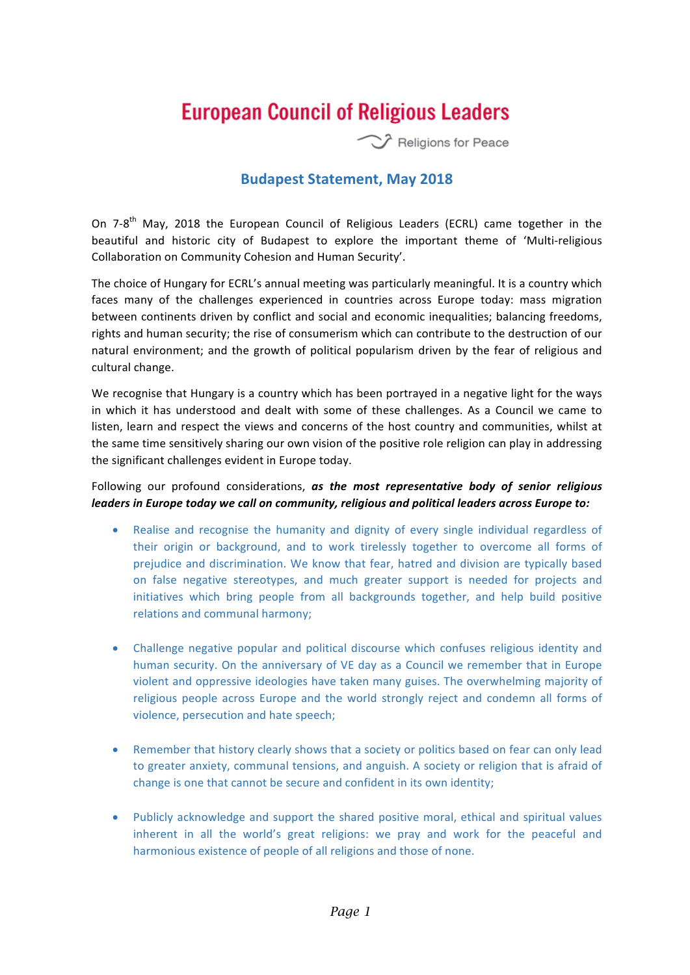## **European Council of Religious Leaders**

Religions for Peace

## **Budapest Statement, May 2018**

On 7-8<sup>th</sup> May, 2018 the European Council of Religious Leaders (ECRL) came together in the beautiful and historic city of Budapest to explore the important theme of 'Multi-religious Collaboration on Community Cohesion and Human Security'.

The choice of Hungary for ECRL's annual meeting was particularly meaningful. It is a country which faces many of the challenges experienced in countries across Europe today: mass migration between continents driven by conflict and social and economic inequalities; balancing freedoms, rights and human security; the rise of consumerism which can contribute to the destruction of our natural environment; and the growth of political popularism driven by the fear of religious and cultural change.

We recognise that Hungary is a country which has been portrayed in a negative light for the ways in which it has understood and dealt with some of these challenges. As a Council we came to listen, learn and respect the views and concerns of the host country and communities, whilst at the same time sensitively sharing our own vision of the positive role religion can play in addressing the significant challenges evident in Europe today.

## Following our profound considerations, as the most representative body of senior religious *leaders* in Europe today we call on community, religious and political leaders across Europe to:

- Realise and recognise the humanity and dignity of every single individual regardless of their origin or background, and to work tirelessly together to overcome all forms of prejudice and discrimination. We know that fear, hatred and division are typically based on false negative stereotypes, and much greater support is needed for projects and initiatives which bring people from all backgrounds together, and help build positive relations and communal harmony;
- Challenge negative popular and political discourse which confuses religious identity and human security. On the anniversary of VE day as a Council we remember that in Europe violent and oppressive ideologies have taken many guises. The overwhelming majority of religious people across Europe and the world strongly reject and condemn all forms of violence, persecution and hate speech;
- Remember that history clearly shows that a society or politics based on fear can only lead to greater anxiety, communal tensions, and anguish. A society or religion that is afraid of change is one that cannot be secure and confident in its own identity;
- Publicly acknowledge and support the shared positive moral, ethical and spiritual values inherent in all the world's great religions: we pray and work for the peaceful and harmonious existence of people of all religions and those of none.